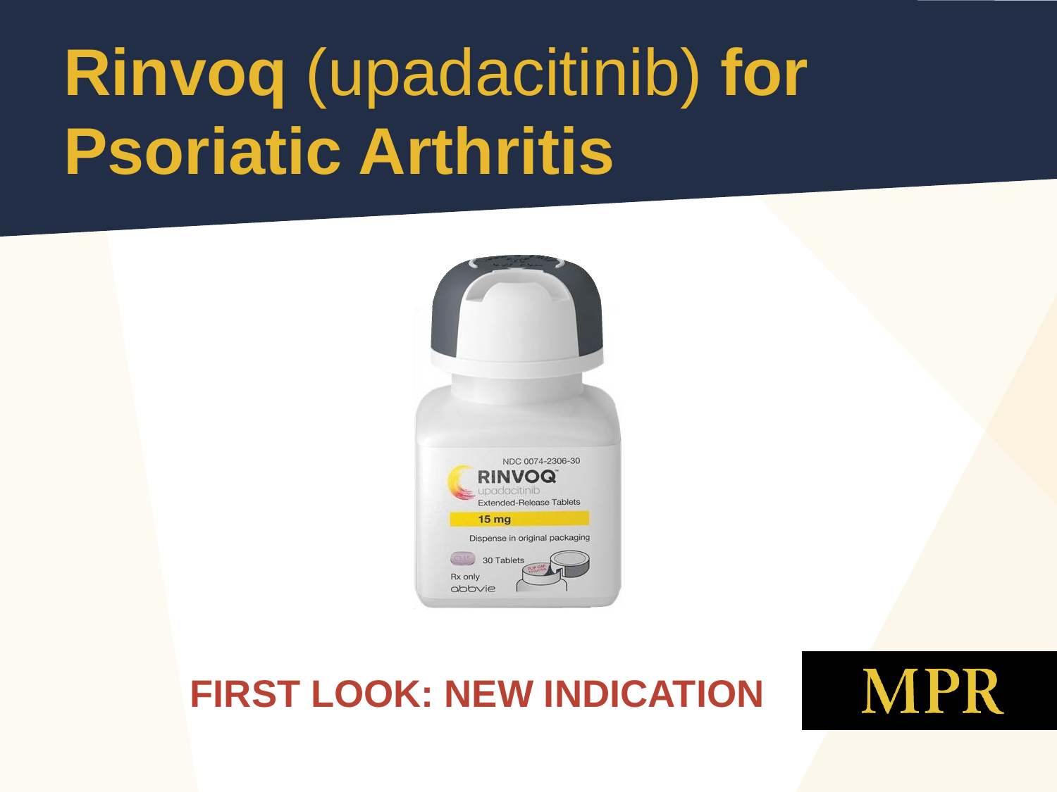# **Rinvoq** (upadacitinib) **for Psoriatic Arthritis**



#### **FIRST LOOK: NEW INDICATION**

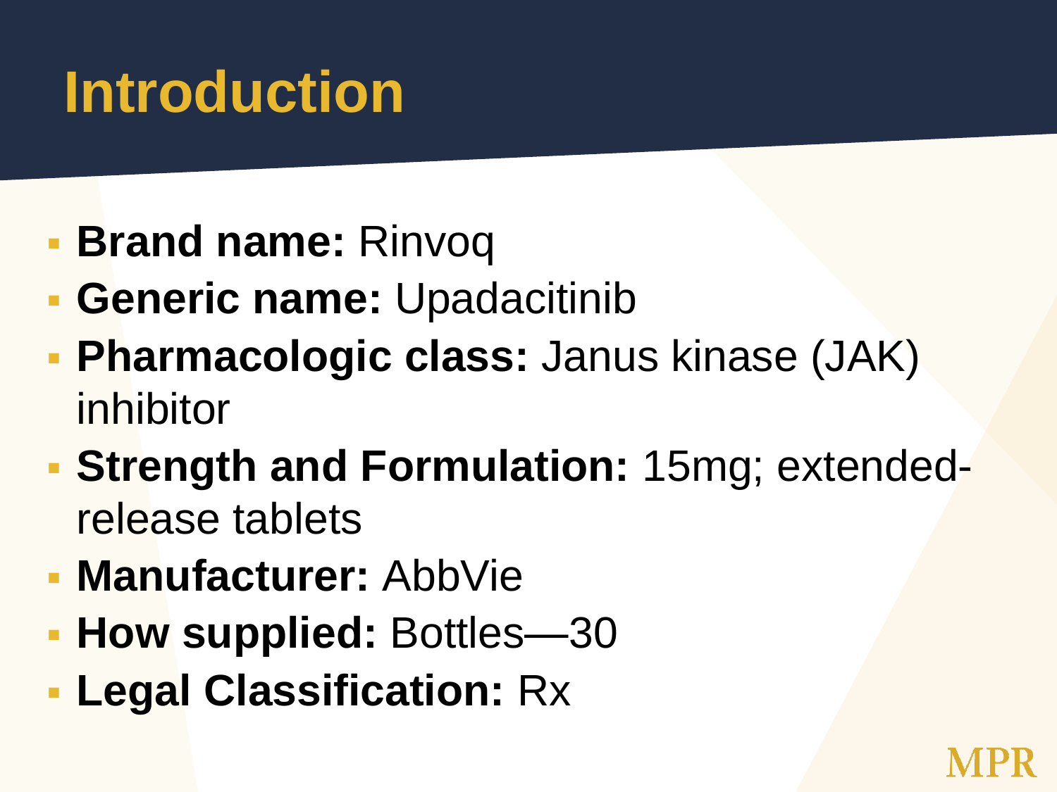## **Introduction**

- **Brand name: Rinvoq**
- **Generic name:** Upadacitinib
- **Pharmacologic class:** Janus kinase (JAK) inhibitor
- **Strength and Formulation:** 15mg; extendedrelease tablets
- **Manufacturer:** AbbVie
- **How supplied: Bottles—30**
- **Legal Classification:** Rx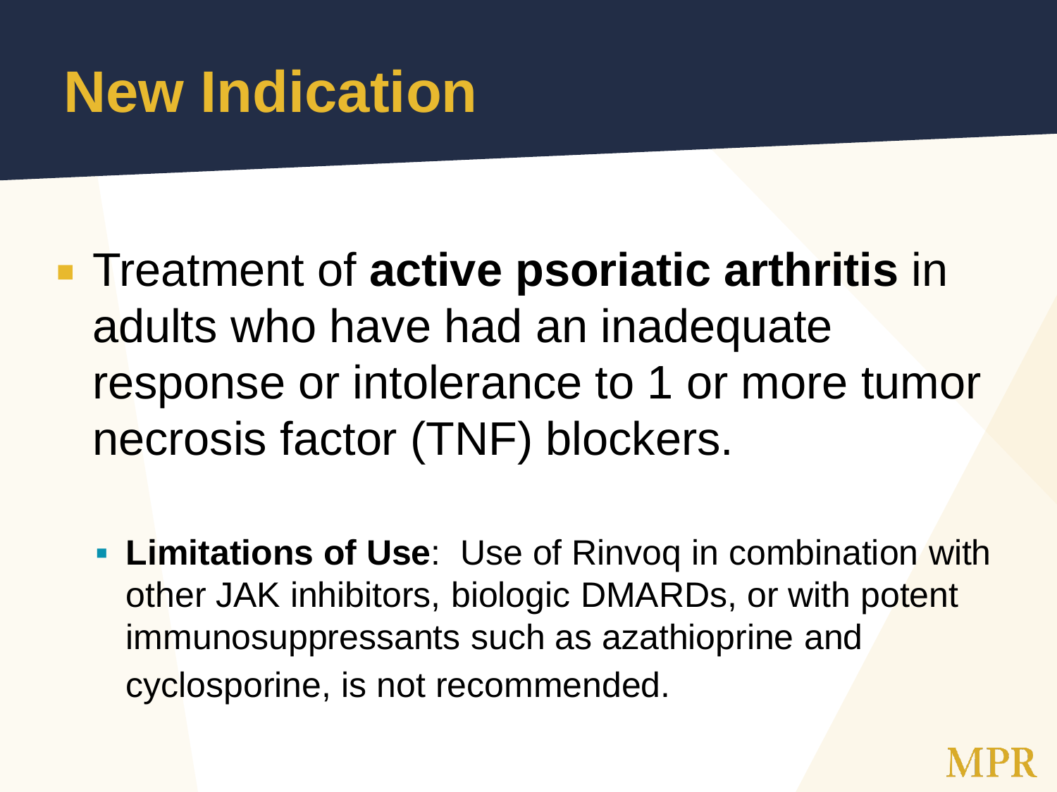## **New Indication**

- **Treatment of active psoriatic arthritis** in adults who have had an inadequate response or intolerance to 1 or more tumor necrosis factor (TNF) blockers.
	- **Limitations of Use**: Use of Rinvoq in combination with other JAK inhibitors, biologic DMARDs, or with potent immunosuppressants such as azathioprine and cyclosporine, is not recommended.

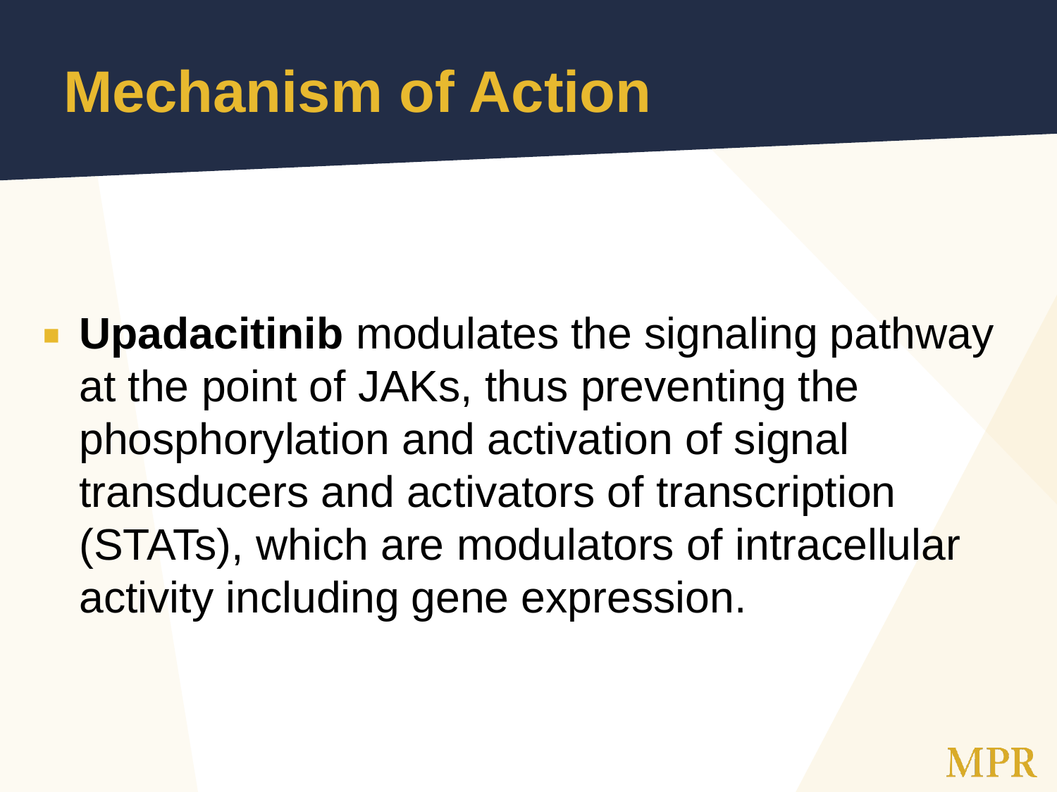## **Mechanism of Action**

**Upadacitinib** modulates the signaling pathway at the point of JAKs, thus preventing the phosphorylation and activation of signal transducers and activators of transcription (STATs), which are modulators of intracellular activity including gene expression.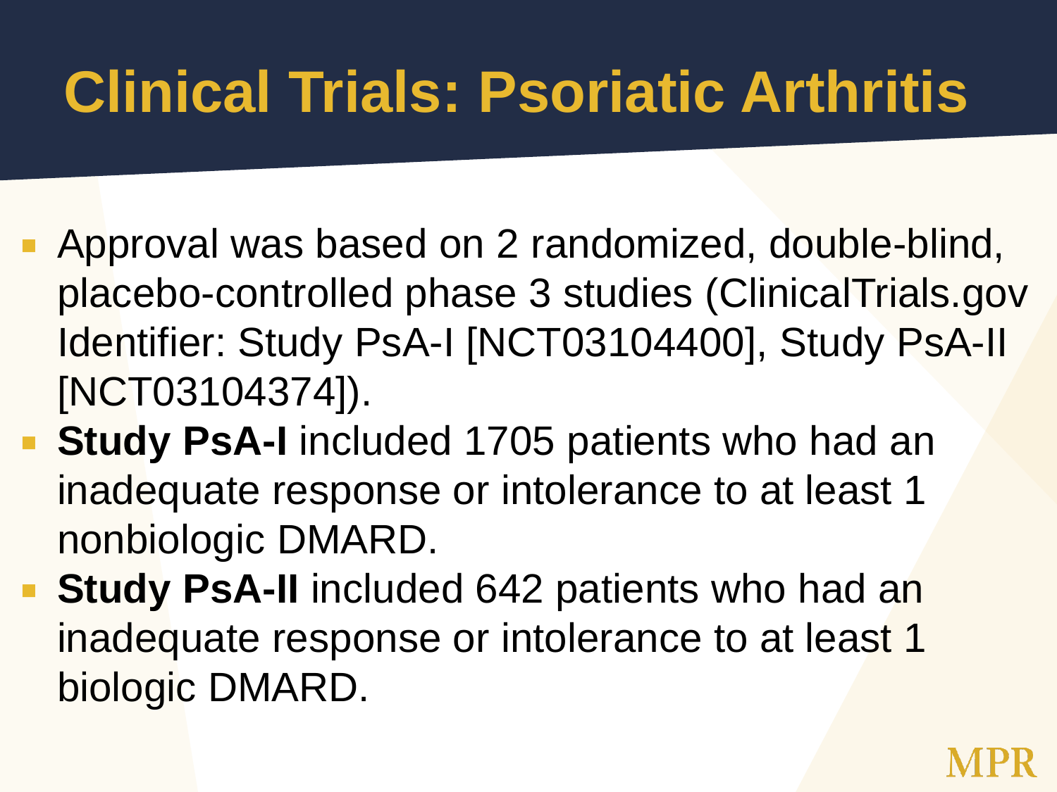- **Approval was based on 2 randomized, double-blind,** placebo-controlled phase 3 studies (ClinicalTrials.gov Identifier: Study PsA-I [NCT03104400], Study PsA-II [NCT03104374]).
- **Study PsA-I** included 1705 patients who had an inadequate response or intolerance to at least 1 nonbiologic DMARD.
- **Study PsA-II** included 642 patients who had an inadequate response or intolerance to at least 1 biologic DMARD.

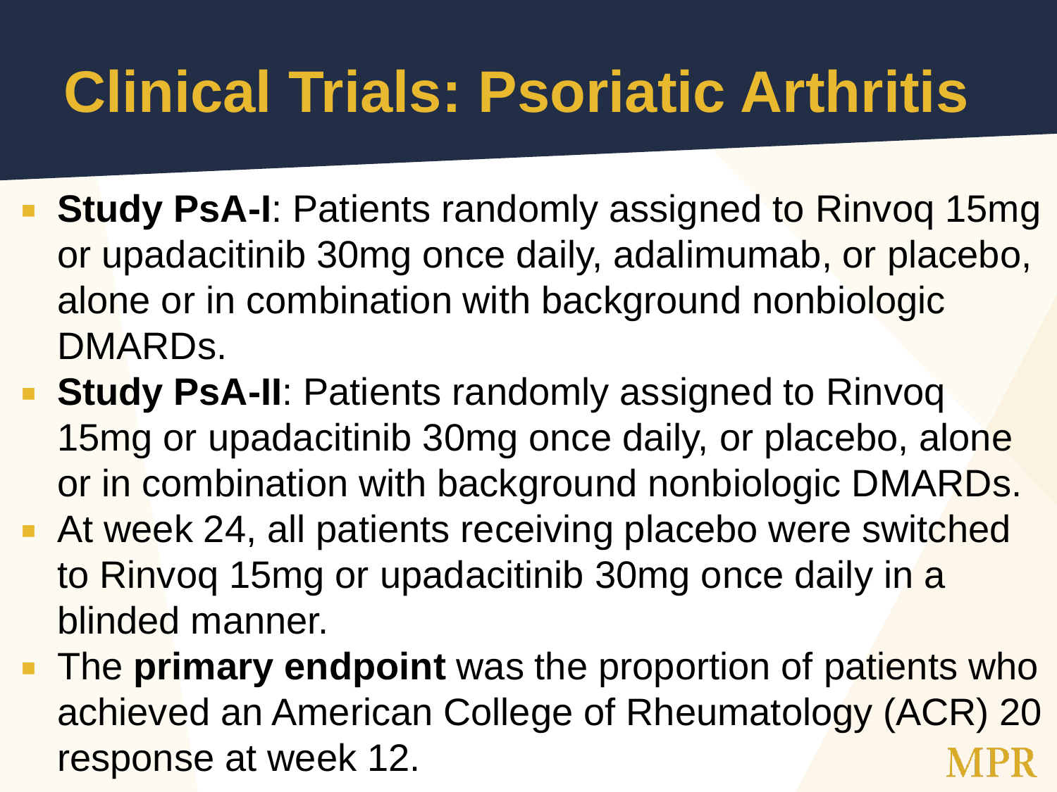- **Study PsA-I**: Patients randomly assigned to Rinvoq 15mg or upadacitinib 30mg once daily, adalimumab, or placebo, alone or in combination with background nonbiologic DMARDs.
- **Study PsA-II:** Patients randomly assigned to Rinvoq 15mg or upadacitinib 30mg once daily, or placebo, alone or in combination with background nonbiologic DMARDs.
- At week 24, all patients receiving placebo were switched to Rinvoq 15mg or upadacitinib 30mg once daily in a blinded manner.
- **The primary endpoint** was the proportion of patients who achieved an American College of Rheumatology (ACR) 20 response at week 12.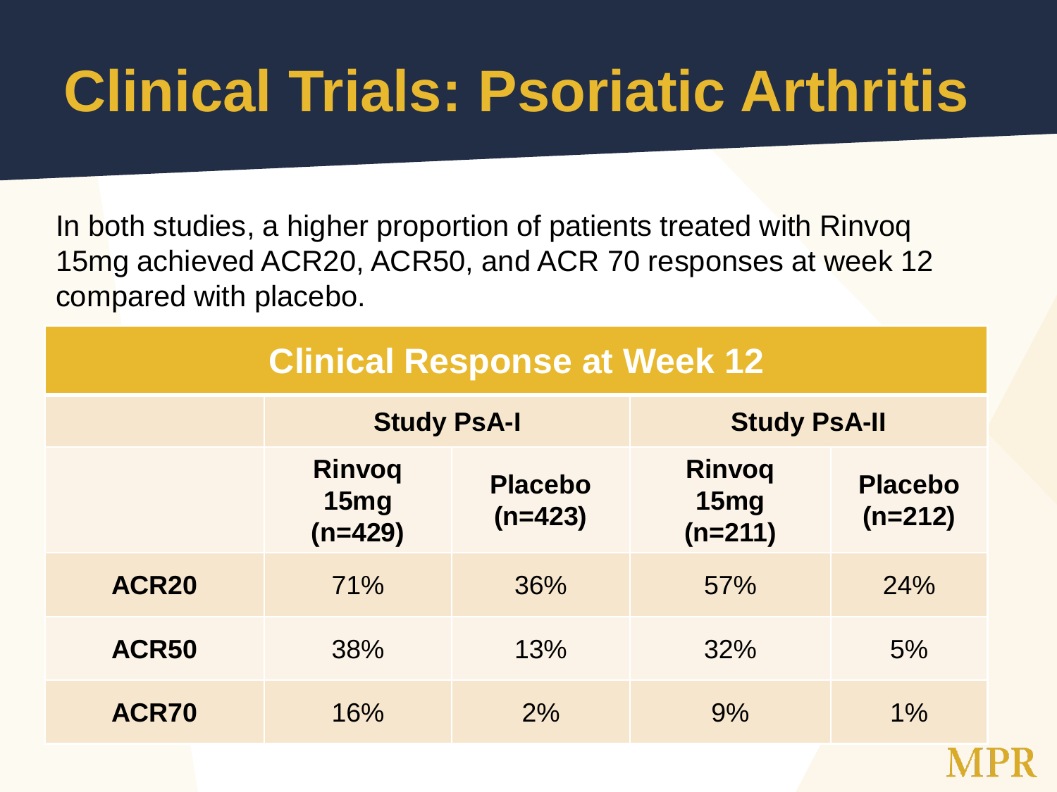In both studies, a higher proportion of patients treated with Rinvoq 15mg achieved ACR20, ACR50, and ACR 70 responses at week 12 compared with placebo.

| <b>Clinical Response at Week 12</b> |                                    |                             |                                    |                             |
|-------------------------------------|------------------------------------|-----------------------------|------------------------------------|-----------------------------|
|                                     | <b>Study PsA-I</b>                 |                             | <b>Study PsA-II</b>                |                             |
|                                     | <b>Rinvoq</b><br>15mg<br>$(n=429)$ | <b>Placebo</b><br>$(n=423)$ | <b>Rinvoq</b><br>15mg<br>$(n=211)$ | <b>Placebo</b><br>$(n=212)$ |
| ACR <sub>20</sub>                   | 71%                                | 36%                         | 57%                                | 24%                         |
| ACR50                               | 38%                                | 13%                         | 32%                                | 5%                          |
| ACR70                               | 16%                                | 2%                          | 9%                                 | $1\%$                       |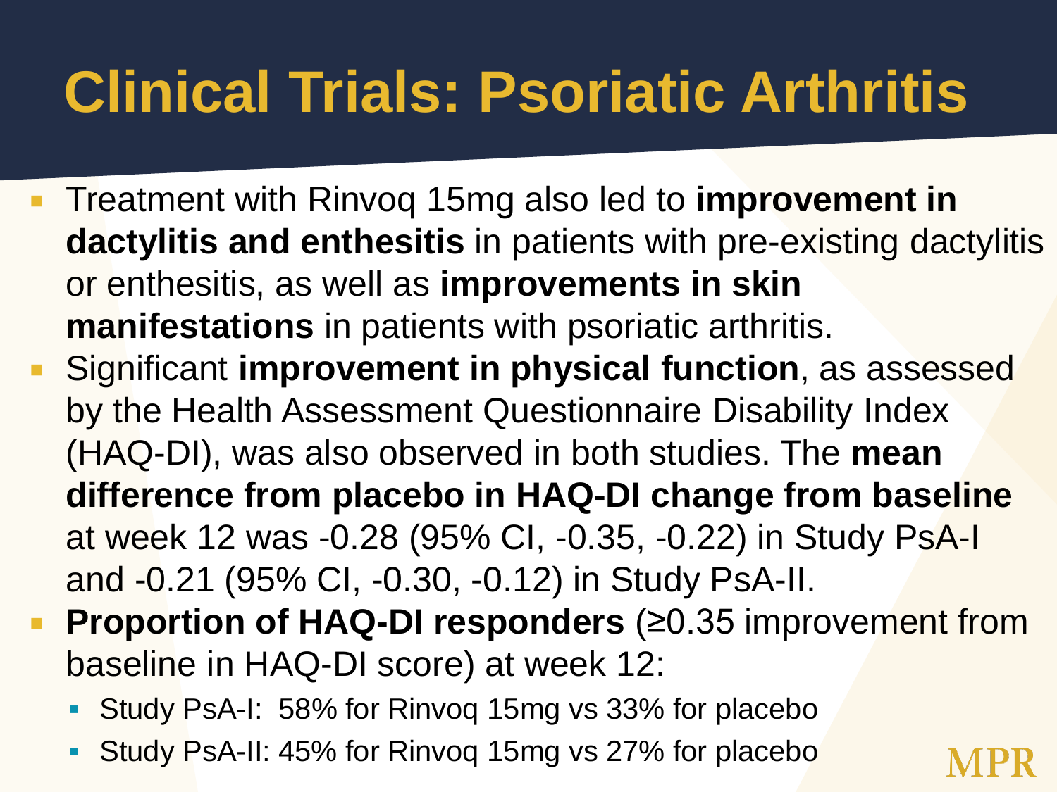- Treatment with Rinvoq 15mg also led to **improvement in dactylitis and enthesitis** in patients with pre-existing dactylitis or enthesitis, as well as **improvements in skin manifestations** in patients with psoriatic arthritis.
- Significant **improvement in physical function**, as assessed by the Health Assessment Questionnaire Disability Index (HAQ-DI), was also observed in both studies. The **mean difference from placebo in HAQ-DI change from baseline** at week 12 was -0.28 (95% CI, -0.35, -0.22) in Study PsA-I and -0.21 (95% CI, -0.30, -0.12) in Study PsA-II.
- **Proportion of HAQ-DI responders (≥0.35 improvement from** baseline in HAQ-DI score) at week 12:
	- Study PsA-I: 58% for Rinvoq 15mg vs 33% for placebo
	- Study PsA-II: 45% for Rinvoq 15mg vs 27% for placebo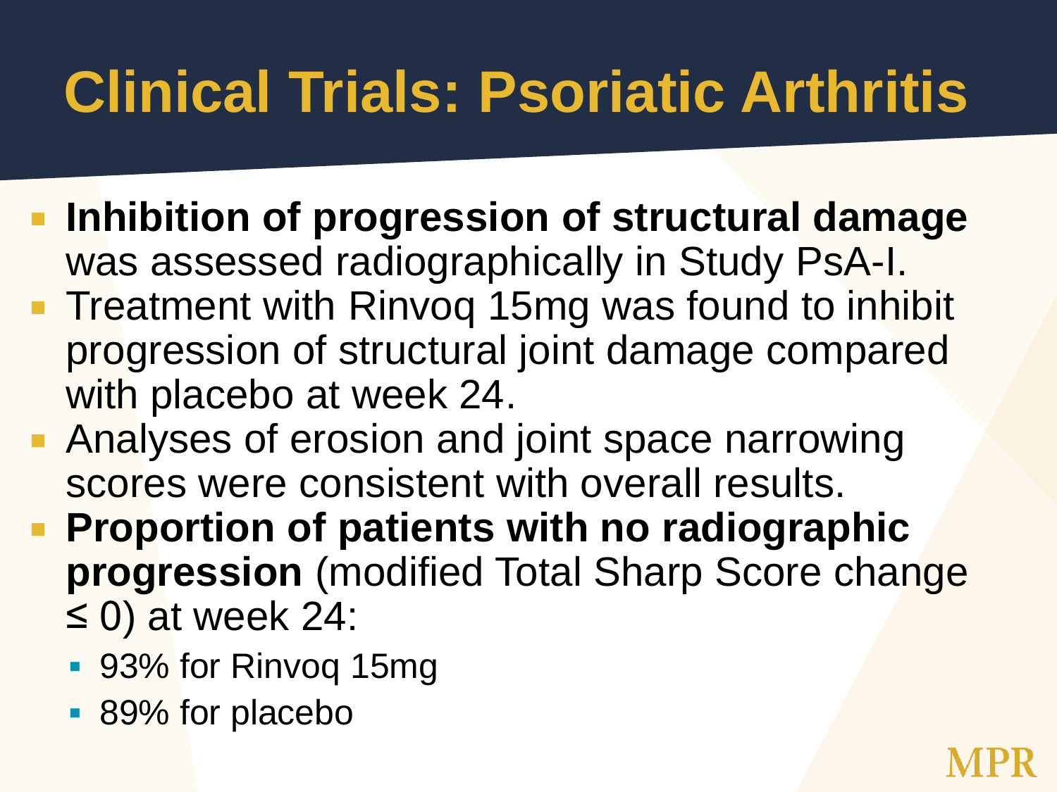- **Inhibition of progression of structural damage** was assessed radiographically in Study PsA-I.
- **Treatment with Rinvog 15mg was found to inhibit** progression of structural joint damage compared with placebo at week 24.
- **Analyses of erosion and joint space narrowing** scores were consistent with overall results.
- **Proportion of patients with no radiographic progression** (modified Total Sharp Score change  $\leq$  0) at week 24:
	- 93% for Rinvoq 15mg
	- 89% for placebo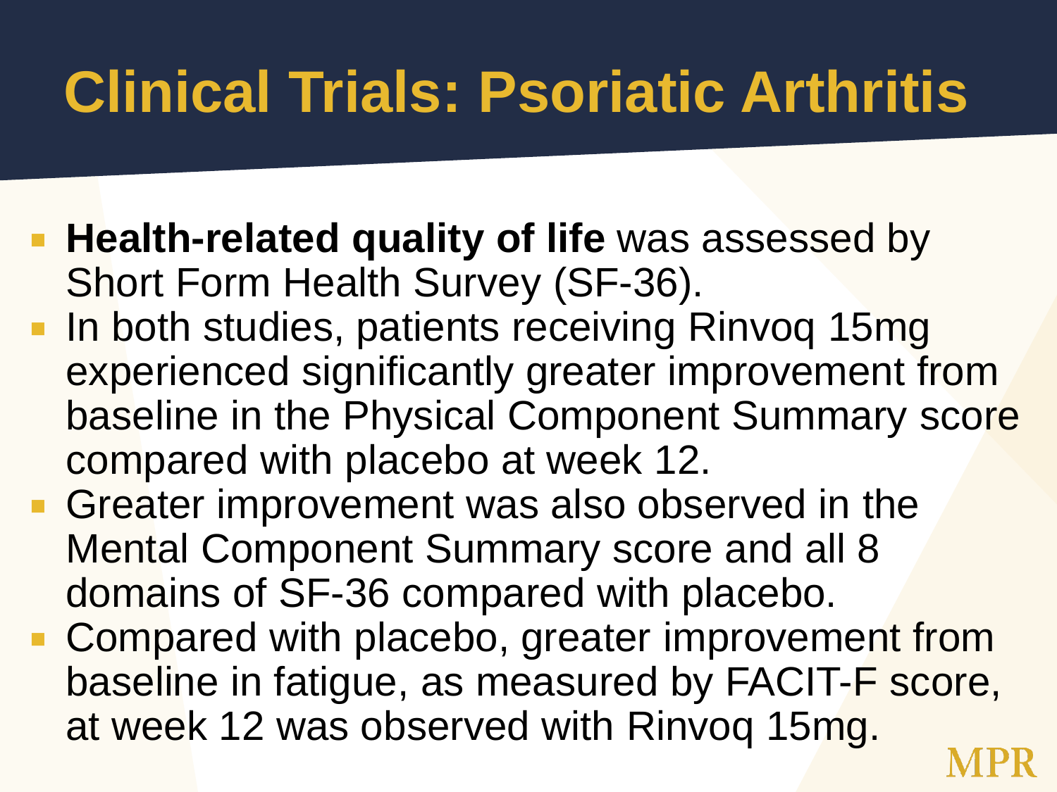- **Health-related quality of life** was assessed by Short Form Health Survey (SF-36).
- **In both studies, patients receiving Rinvog 15mg** experienced significantly greater improvement from baseline in the Physical Component Summary score compared with placebo at week 12.
- **Greater improvement was also observed in the** Mental Component Summary score and all 8 domains of SF-36 compared with placebo.
- Compared with placebo, greater improvement from baseline in fatigue, as measured by FACIT-F score, at week 12 was observed with Rinvoq 15mg.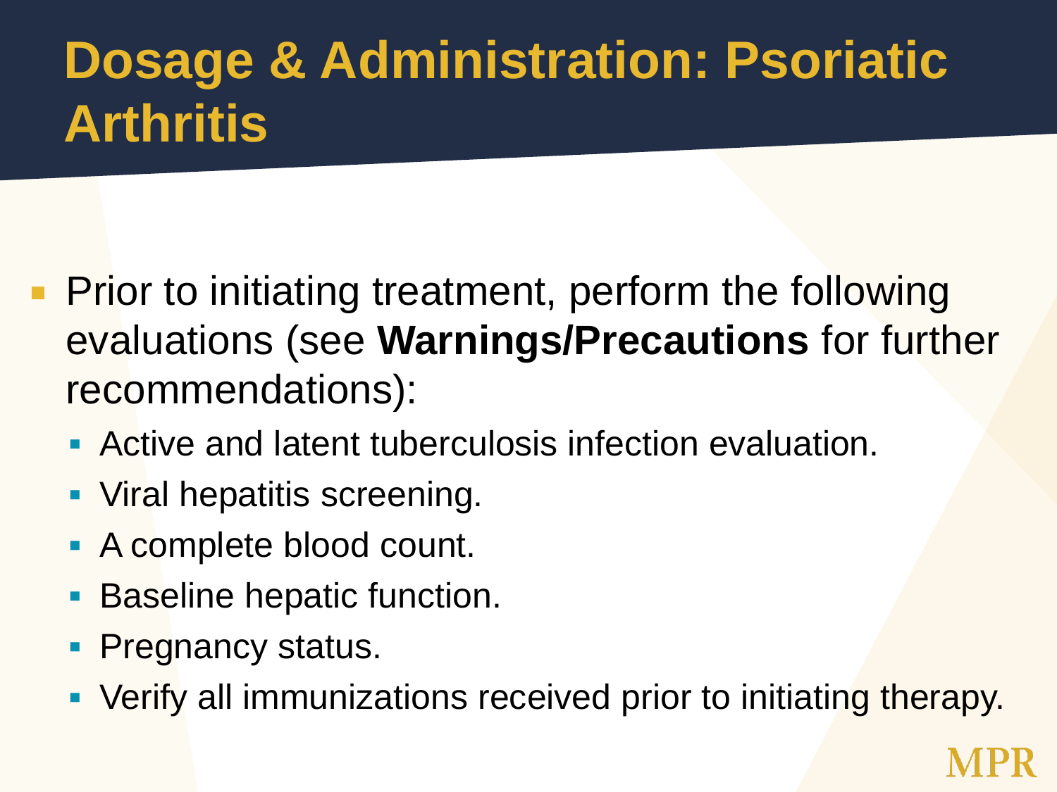### **Dosage & Administration: Psoriatic Arthritis**

- **Prior to initiating treatment, perform the following** evaluations (see **Warnings/Precautions** for further recommendations):
	- **Active and latent tuberculosis infection evaluation.**
	- **Viral hepatitis screening.**
	- **A complete blood count.**
	- **Baseline hepatic function.**
	- **Pregnancy status.**
	- **Verify all immunizations received prior to initiating therapy.**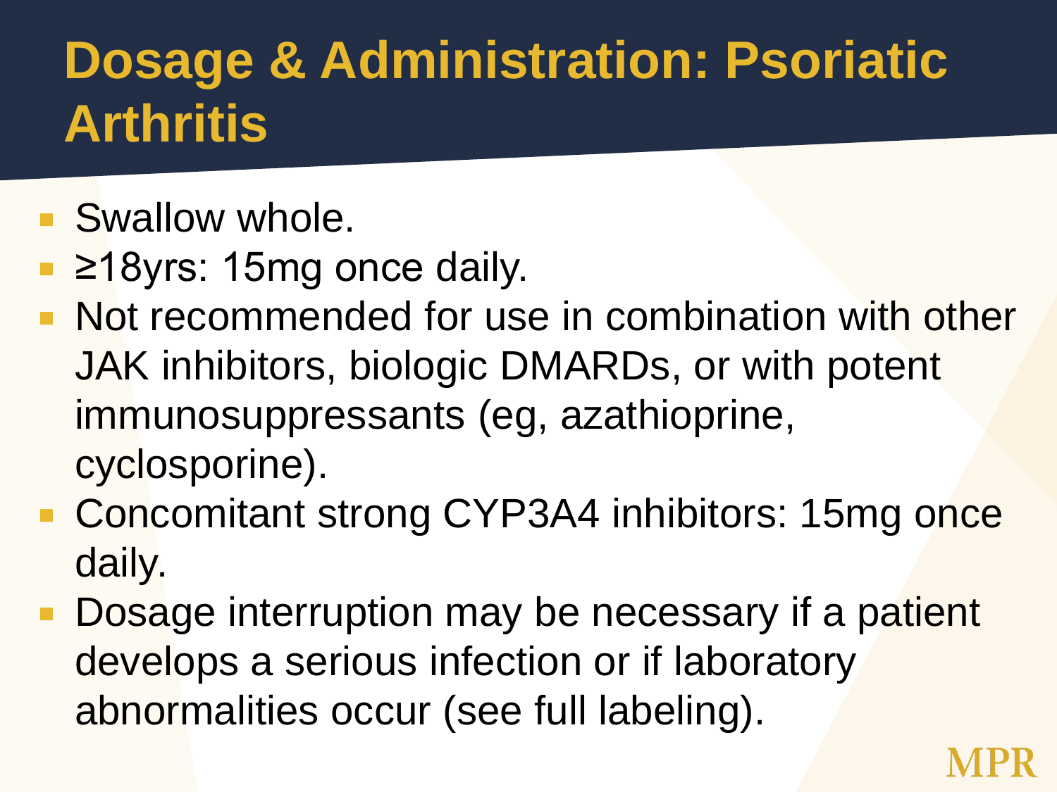### **Dosage & Administration: Psoriatic Arthritis**

- **Swallow whole.**
- ≥18yrs: 15mg once daily.
- **Not recommended for use in combination with other** JAK inhibitors, biologic DMARDs, or with potent immunosuppressants (eg, azathioprine, cyclosporine).
- Concomitant strong CYP3A4 inhibitors: 15mg once daily.
- Dosage interruption may be necessary if a patient develops a serious infection or if laboratory abnormalities occur (see full labeling).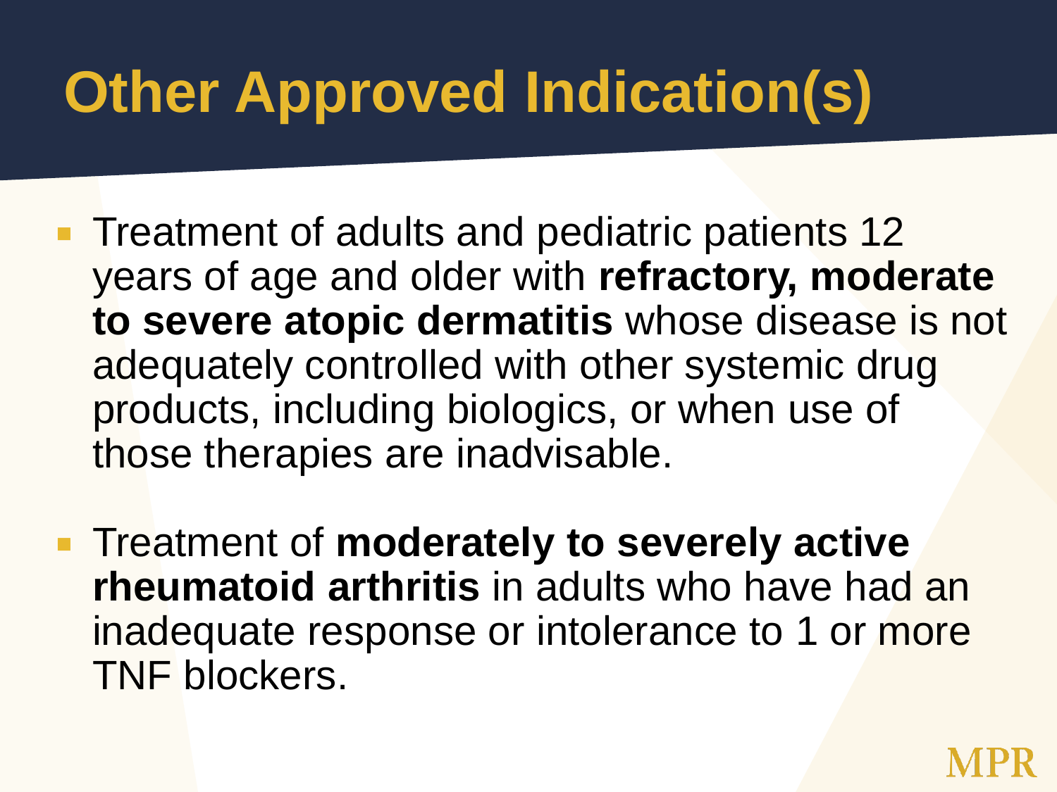# **Other Approved Indication(s)**

- Treatment of adults and pediatric patients 12 years of age and older with **refractory, moderate to severe atopic dermatitis** whose disease is not adequately controlled with other systemic drug products, including biologics, or when use of those therapies are inadvisable.
- **Example 1 Finally 10 Severely active rheumatoid arthritis** in adults who have had an inadequate response or intolerance to 1 or more TNF blockers.

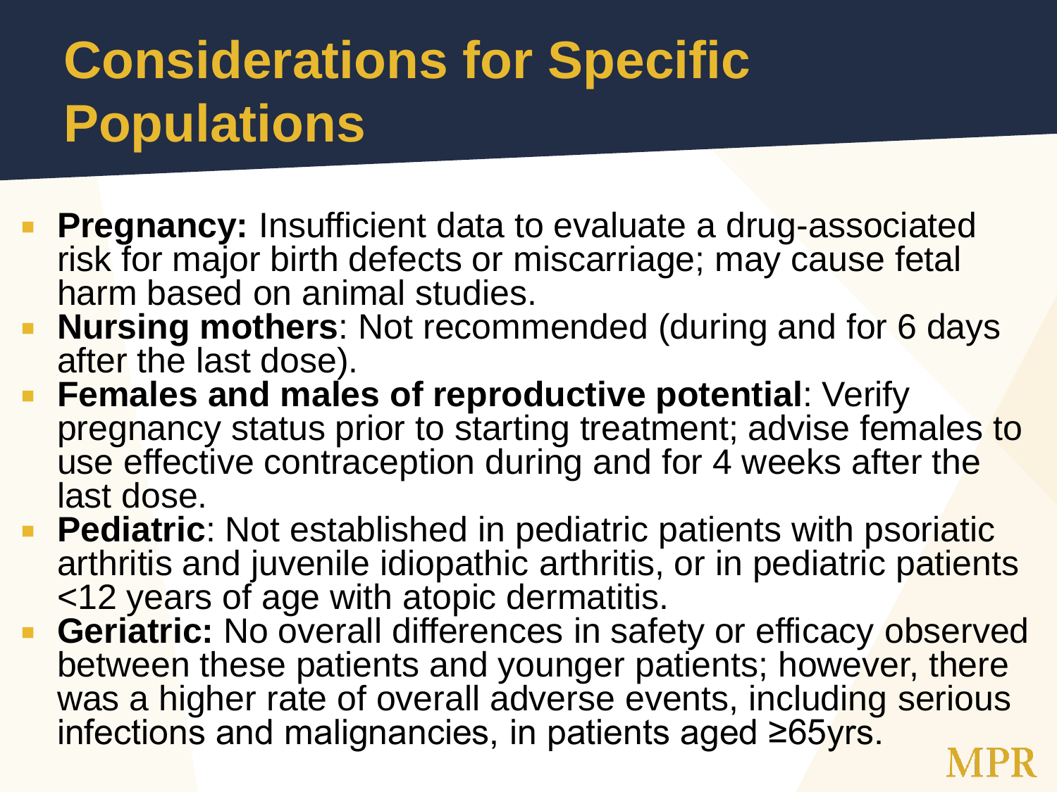### **Considerations for Specific Populations**

- **Pregnancy:** Insufficient data to evaluate a drug-associated risk for major birth defects or miscarriage; may cause fetal harm based on animal studies.
- **Nursing mothers**: Not recommended (during and for 6 days after the last dose).
- **Females and males of reproductive potential**: Verify pregnancy status prior to starting treatment; advise females to use effective contraception during and for 4 weeks after the last dose.
- **Pediatric**: Not established in pediatric patients with psoriatic arthritis and juvenile idiopathic arthritis, or in pediatric patients <12 years of age with atopic dermatitis.
- **Geriatric:** No overall differences in safety or efficacy observed between these patients and younger patients; however, there was a higher rate of overall adverse events, including serious infections and malignancies, in patients aged ≥65yrs.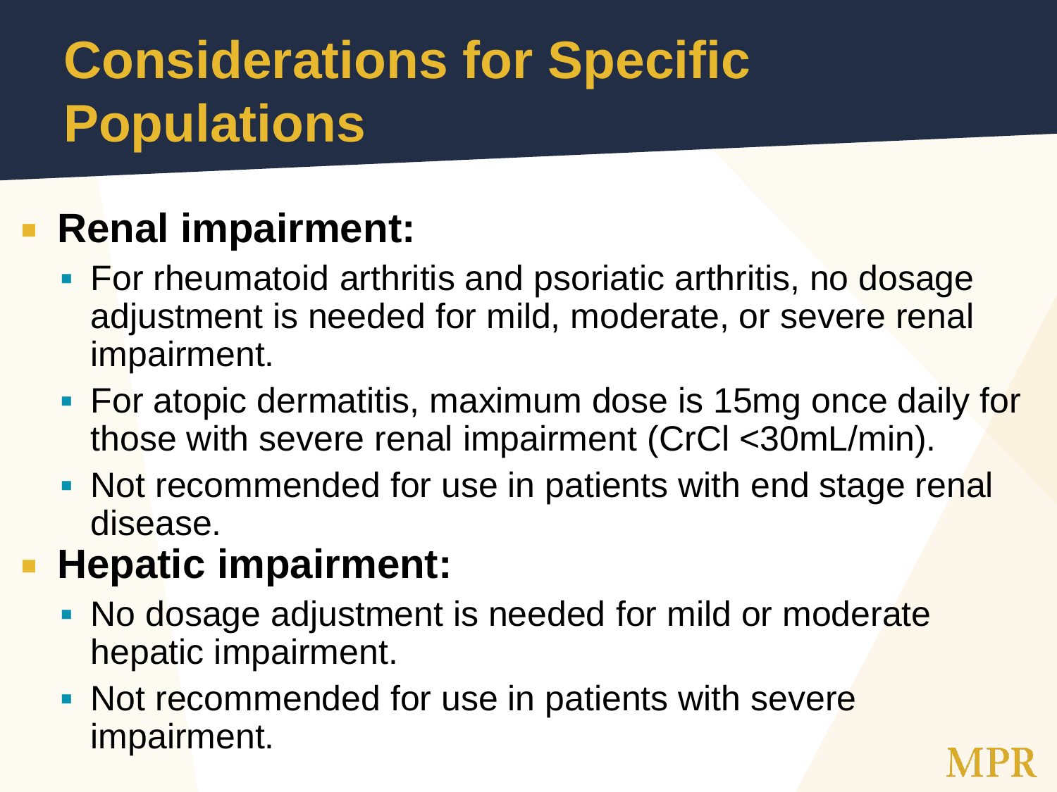### **Considerations for Specific Populations**

#### **Renal impairment:**

- **For rheumatoid arthritis and psoriatic arthritis, no dosage** adjustment is needed for mild, moderate, or severe renal impairment.
- **For atopic dermatitis, maximum dose is 15mg once daily for** those with severe renal impairment (CrCl <30mL/min).
- Not recommended for use in patients with end stage renal disease.

#### **Hepatic impairment:**

- No dosage adjustment is needed for mild or moderate hepatic impairment.
- Not recommended for use in patients with severe impairment.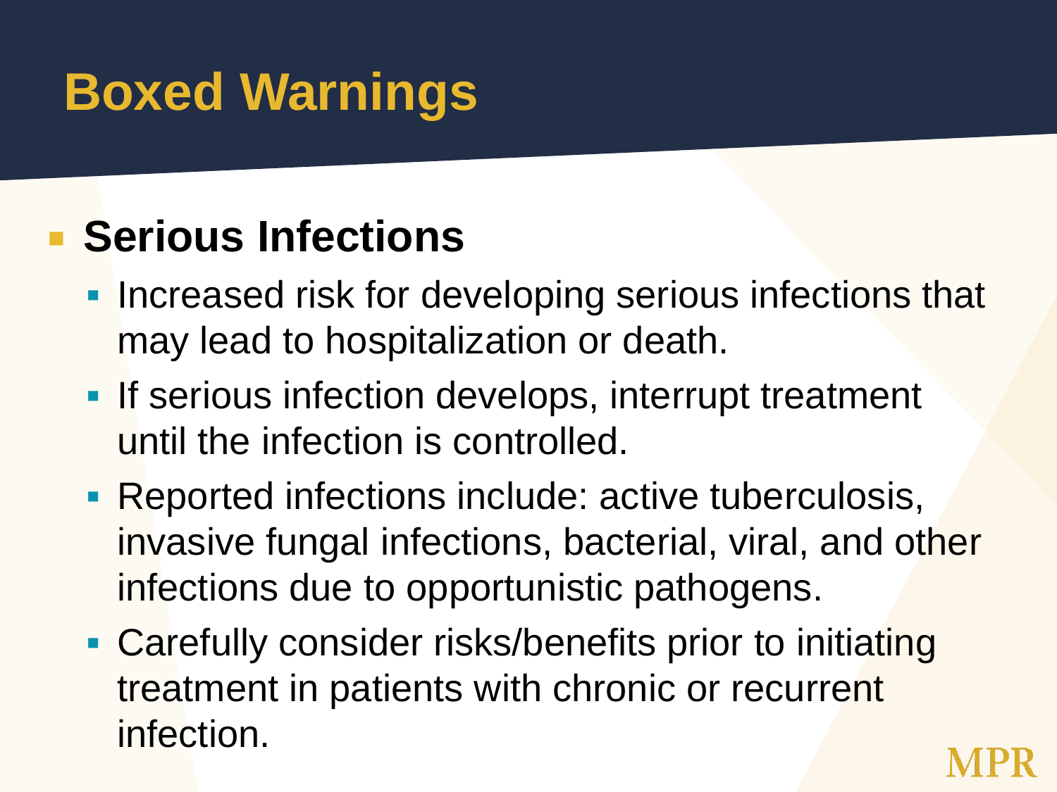### **Boxed Warnings**

#### **Exercicus Infections**

- **Increased risk for developing serious infections that** may lead to hospitalization or death.
- **If serious infection develops, interrupt treatment** until the infection is controlled.
- Reported infections include: active tuberculosis, invasive fungal infections, bacterial, viral, and other infections due to opportunistic pathogens.
- **Carefully consider risks/benefits prior to initiating** treatment in patients with chronic or recurrent infection.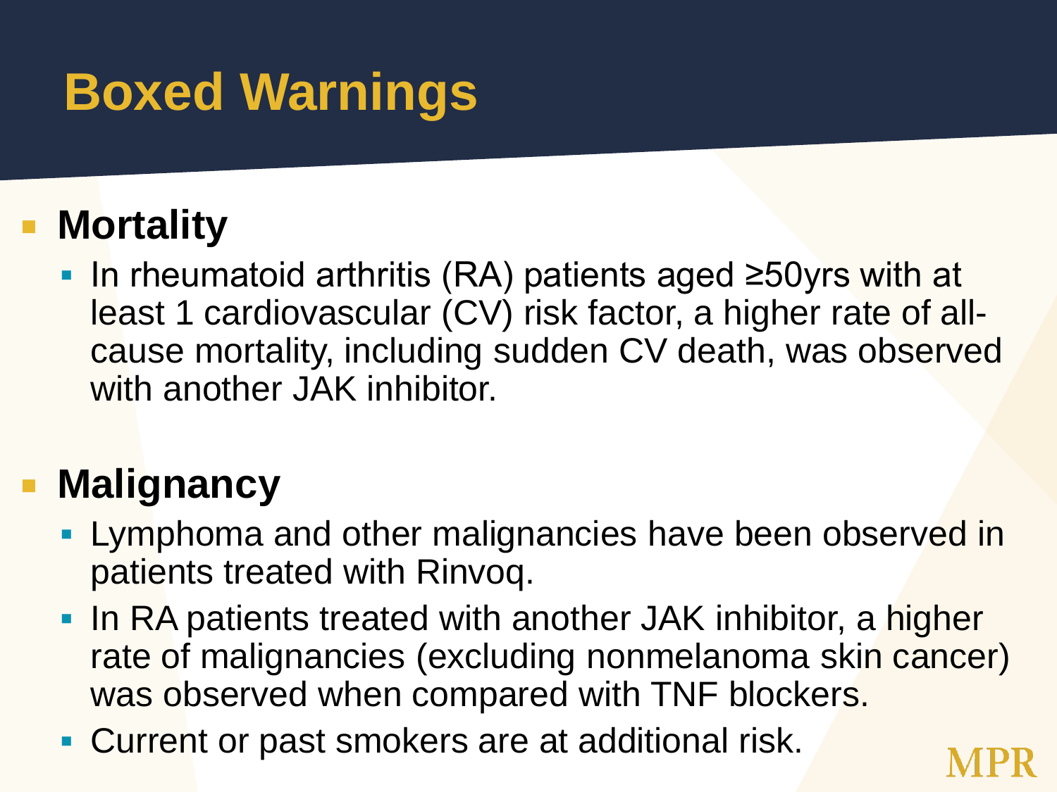### **Boxed Warnings**

#### **Mortality**

■ In rheumatoid arthritis (RA) patients aged ≥50yrs with at least 1 cardiovascular (CV) risk factor, a higher rate of allcause mortality, including sudden CV death, was observed with another JAK inhibitor.

#### **Malignancy**

- **Lymphoma and other malignancies have been observed in** patients treated with Rinvoq.
- In RA patients treated with another JAK inhibitor, a higher rate of malignancies (excluding nonmelanoma skin cancer) was observed when compared with TNF blockers.
- **Current or past smokers are at additional risk.**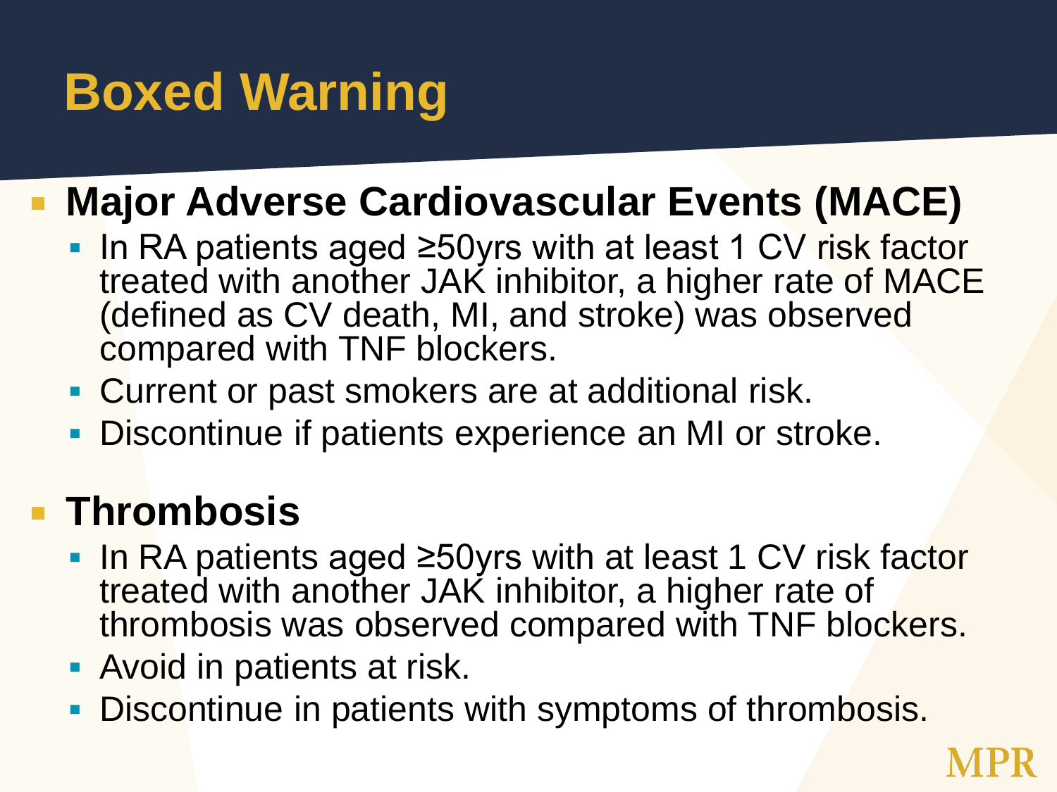### **Boxed Warning**

#### **Major Adverse Cardiovascular Events (MACE)**

- In RA patients aged ≥50yrs with at least 1 CV risk factor treated with another JAK inhibitor, a higher rate of MACE (defined as CV death, MI, and stroke) was observed compared with TNF blockers.
- Current or past smokers are at additional risk.
- **Discontinue if patients experience an MI or stroke.**

#### **Thrombosis**

- In RA patients aged ≥50yrs with at least 1 CV risk factor treated with another JAK inhibitor, a higher rate of thrombosis was observed compared with TNF blockers.
- **Avoid in patients at risk.**
- Discontinue in patients with symptoms of thrombosis.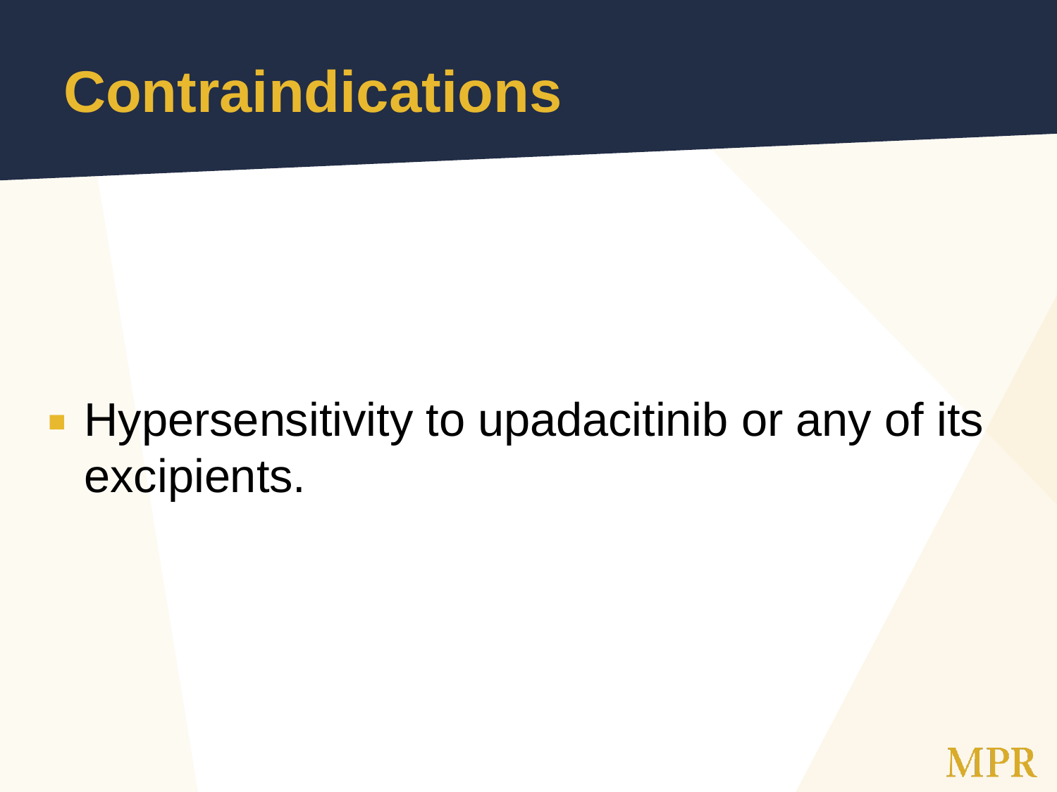### **Contraindications**

#### **Hypersensitivity to upadacitinib or any of its** excipients.

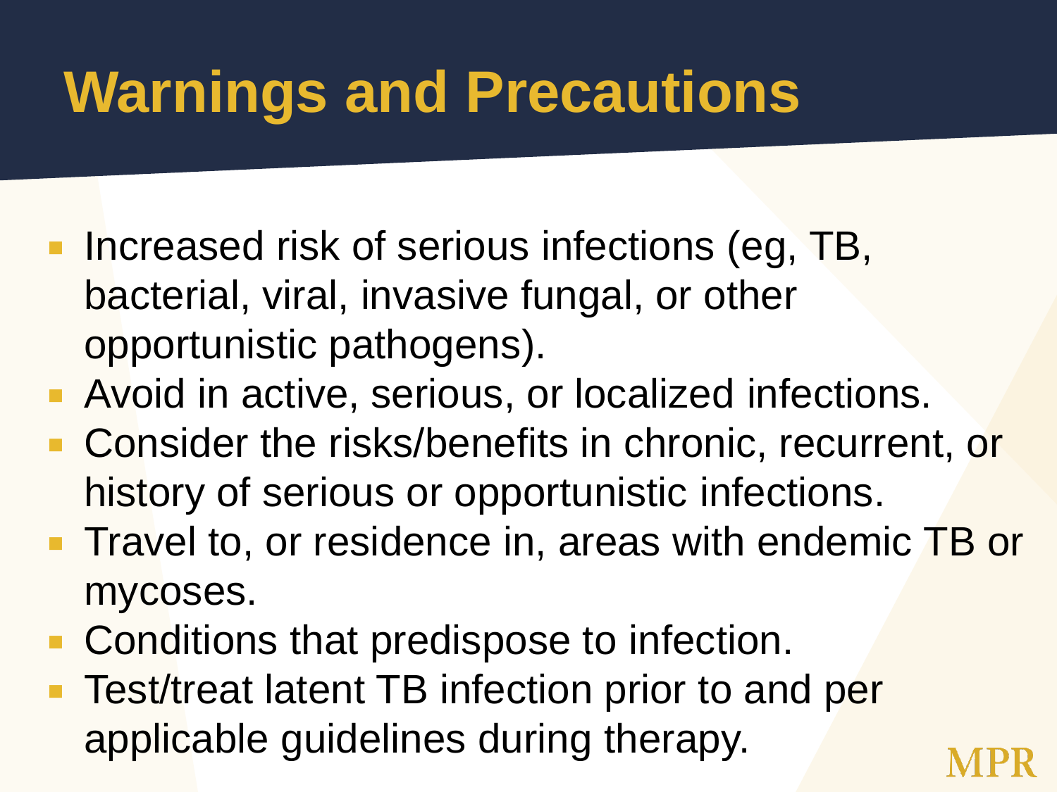# **Warnings and Precautions**

- **Increased risk of serious infections (eg, TB,** bacterial, viral, invasive fungal, or other opportunistic pathogens).
- **Avoid in active, serious, or localized infections.**
- **Consider the risks/benefits in chronic, recurrent, or** history of serious or opportunistic infections.
- **Travel to, or residence in, areas with endemic TB or** mycoses.
- Conditions that predispose to infection.
- **Test/treat latent TB infection prior to and per** applicable guidelines during therapy.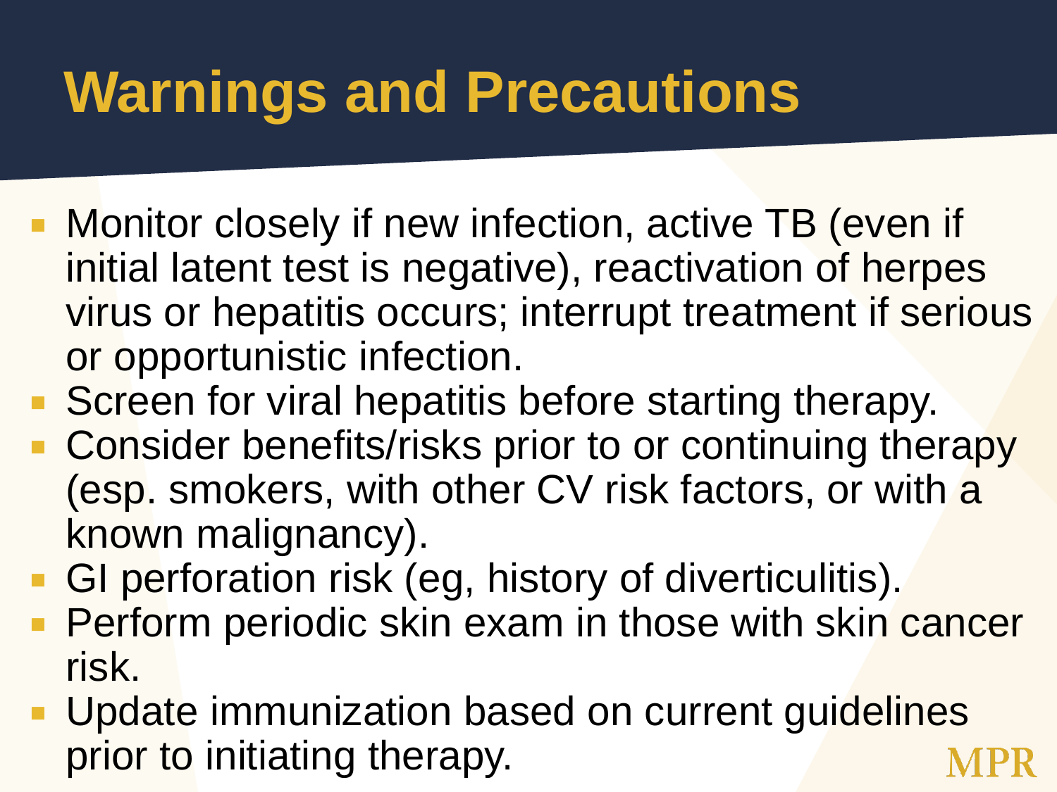# **Warnings and Precautions**

- Monitor closely if new infection, active TB (even if initial latent test is negative), reactivation of herpes virus or hepatitis occurs; interrupt treatment if serious or opportunistic infection.
- Screen for viral hepatitis before starting therapy.
- **Consider benefits/risks prior to or continuing therapy** (esp. smokers, with other CV risk factors, or with a known malignancy).
- **GI perforation risk (eg, history of diverticulitis).**
- **Perform periodic skin exam in those with skin cancer** risk.
- **Update immunization based on current guidelines** prior to initiating therapy.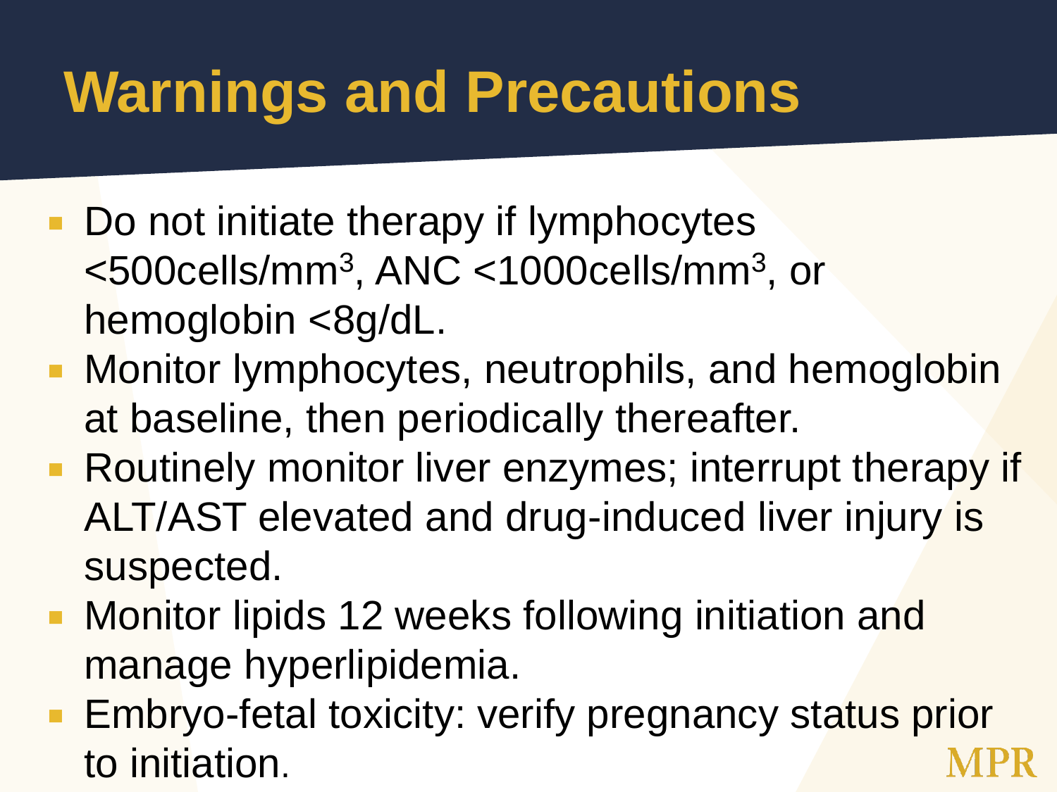# **Warnings and Precautions**

- Do not initiate therapy if lymphocytes <500cells/mm<sup>3</sup> , ANC <1000cells/mm<sup>3</sup> , or hemoglobin <8g/dL.
- Monitor lymphocytes, neutrophils, and hemoglobin at baseline, then periodically thereafter.
- **Routinely monitor liver enzymes; interrupt therapy if** ALT/AST elevated and drug-induced liver injury is suspected.
- **Monitor lipids 12 weeks following initiation and** manage hyperlipidemia.
- **Embryo-fetal toxicity: verify pregnancy status prior** to initiation.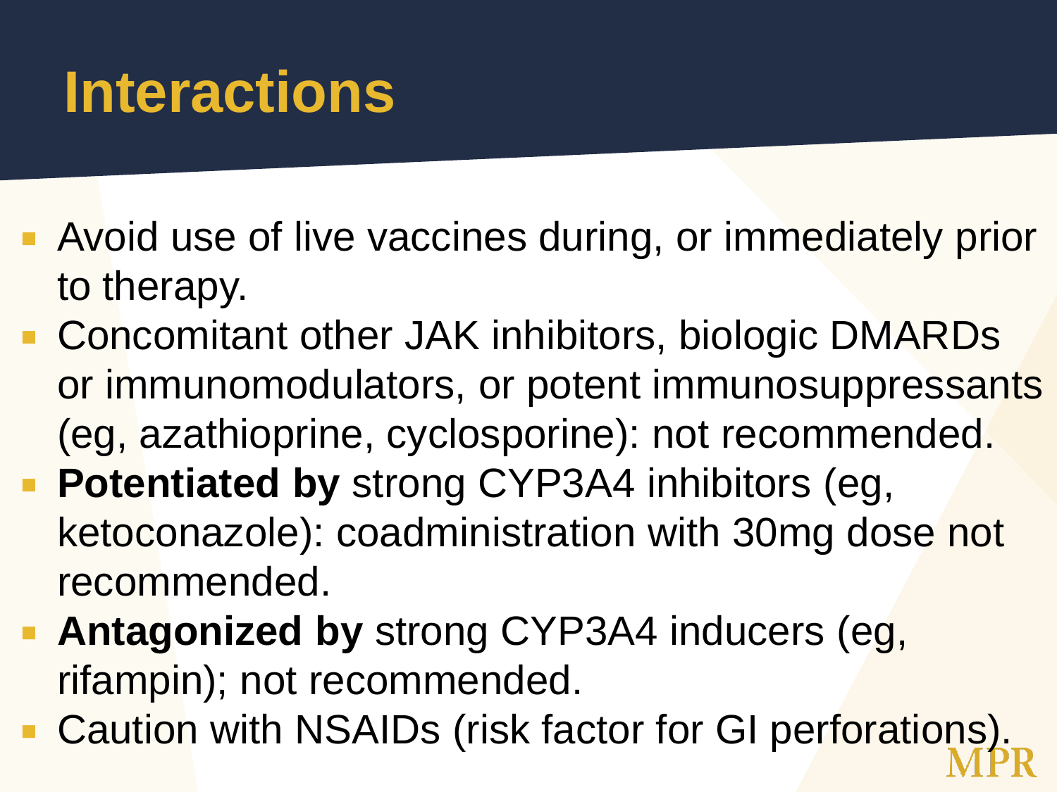## **Interactions**

- **Avoid use of live vaccines during, or immediately prior** to therapy.
- Concomitant other JAK inhibitors, biologic DMARDs or immunomodulators, or potent immunosuppressants (eg, azathioprine, cyclosporine): not recommended.
- **Potentiated by** strong CYP3A4 inhibitors (eg, ketoconazole): coadministration with 30mg dose not recommended.
- **Antagonized by** strong CYP3A4 inducers (eg, rifampin); not recommended.
- Caution with NSAIDs (risk factor for GI perforations).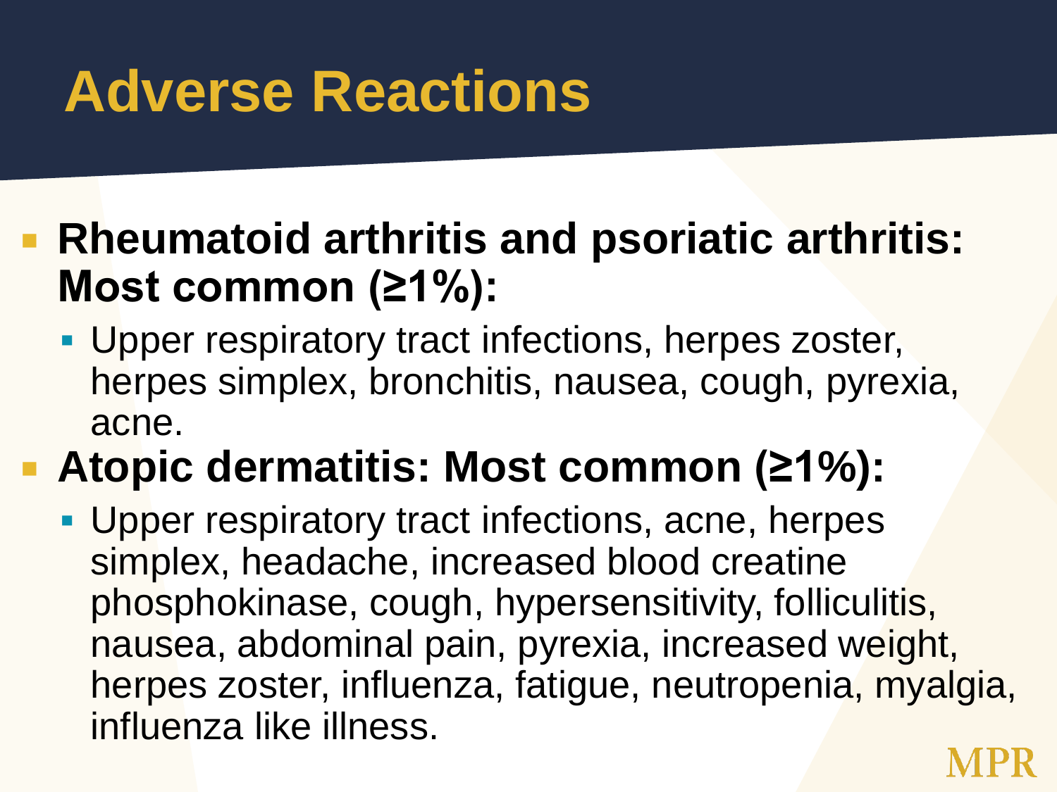## **Adverse Reactions**

#### **Rheumatoid arthritis and psoriatic arthritis: Most common (≥1%):**

**Upper respiratory tract infections, herpes zoster,** herpes simplex, bronchitis, nausea, cough, pyrexia, acne.

#### **Atopic dermatitis: Most common (≥1%):**

**Upper respiratory tract infections, acne, herpes** simplex, headache, increased blood creatine phosphokinase, cough, hypersensitivity, folliculitis, nausea, abdominal pain, pyrexia, increased weight, herpes zoster, influenza, fatigue, neutropenia, myalgia, influenza like illness.